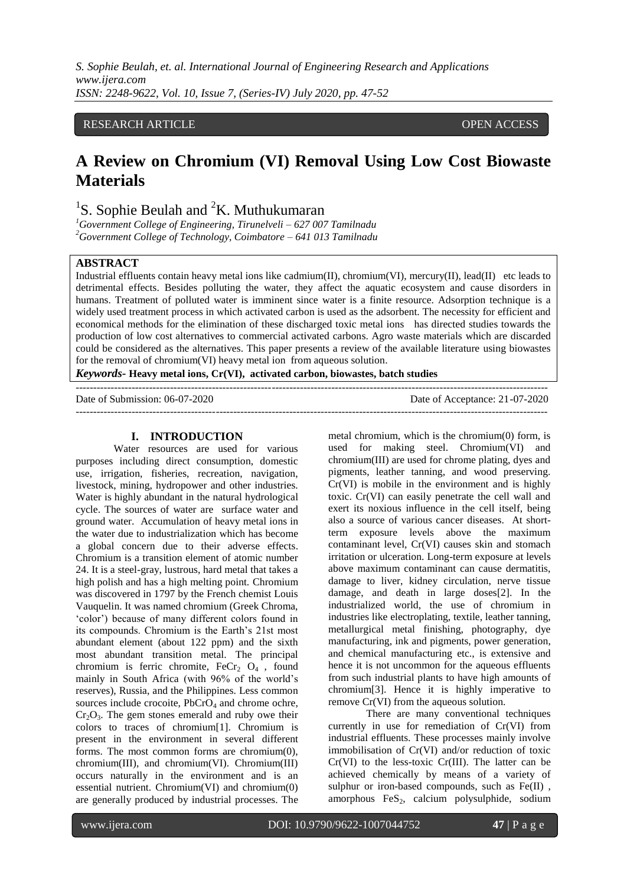*S. Sophie Beulah, et. al. International Journal of Engineering Research and Applications www.ijera.com ISSN: 2248-9622, Vol. 10, Issue 7, (Series-IV) July 2020, pp. 47-52*

## RESEARCH ARTICLE **CONSERVERS** OPEN ACCESS

# **A Review on Chromium (VI) Removal Using Low Cost Biowaste Materials**

## <sup>1</sup>S. Sophie Beulah and <sup>2</sup>K. Muthukumaran

*<sup>1</sup>Government College of Engineering, Tirunelveli – 627 007 Tamilnadu <sup>2</sup>Government College of Technology, Coimbatore – 641 013 Tamilnadu* 

#### **ABSTRACT**

Industrial effluents contain heavy metal ions like cadmium(II), chromium(VI), mercury(II), lead(II) etc leads to detrimental effects. Besides polluting the water, they affect the aquatic ecosystem and cause disorders in humans. Treatment of polluted water is imminent since water is a finite resource. Adsorption technique is a widely used treatment process in which activated carbon is used as the adsorbent. The necessity for efficient and economical methods for the elimination of these discharged toxic metal ions has directed studies towards the production of low cost alternatives to commercial activated carbons. Agro waste materials which are discarded could be considered as the alternatives. This paper presents a review of the available literature using biowastes for the removal of chromium(VI) heavy metal ion from aqueous solution.

*Keywords***- Heavy metal ions, Cr(VI), activated carbon, biowastes, batch studies**

---------------------------------------------------------------------------------------------------------------------------------------

Date of Submission: 06-07-2020 Date of Acceptance: 21-07-2020 ---------------------------------------------------------------------------------------------------------------------------------------

#### **I. INTRODUCTION**

Water resources are used for various purposes including direct consumption, domestic use, irrigation, fisheries, recreation, navigation, livestock, mining, hydropower and other industries. Water is highly abundant in the natural hydrological cycle. The sources of water are surface water and ground water. Accumulation of heavy metal ions in the water due to industrialization which has become a global concern due to their adverse effects. Chromium is a transition element of atomic number 24. It is a steel-gray, lustrous, hard metal that takes a high polish and has a high melting point. Chromium was discovered in 1797 by the French chemist Louis Vauquelin. It was named chromium (Greek Chroma, 'color') because of many different colors found in its compounds. Chromium is the Earth's 21st most abundant element (about 122 ppm) and the sixth most abundant transition metal. The principal chromium is ferric chromite,  $FeCr<sub>2</sub> O<sub>4</sub>$ , found mainly in South Africa (with 96% of the world's reserves), Russia, and the Philippines. Less common sources include crocoite, PbCrO<sub>4</sub> and chrome ochre,  $Cr<sub>2</sub>O<sub>3</sub>$ . The gem stones emerald and ruby owe their colors to traces of chromium[1]. Chromium is present in the environment in several different forms. The most common forms are chromium(0), chromium(III), and chromium(VI). Chromium(III) occurs naturally in the environment and is an essential nutrient. Chromium(VI) and chromium(0) are generally produced by industrial processes. The

metal chromium, which is the chromium(0) form, is used for making steel. Chromium(VI) and chromium(III) are used for chrome plating, dyes and pigments, leather tanning, and wood preserving. Cr(VI) is mobile in the environment and is highly toxic. Cr(VI) can easily penetrate the cell wall and exert its noxious influence in the cell itself, being also a source of various cancer diseases. At shortterm exposure levels above the maximum contaminant level, Cr(VI) causes skin and stomach irritation or ulceration. Long-term exposure at levels above maximum contaminant can cause dermatitis, damage to liver, kidney circulation, nerve tissue damage, and death in large doses[2]. In the industrialized world, the use of chromium in industries like electroplating, textile, leather tanning, metallurgical metal finishing, photography, dye manufacturing, ink and pigments, power generation, and chemical manufacturing etc., is extensive and hence it is not uncommon for the aqueous effluents from such industrial plants to have high amounts of chromium[3]. Hence it is highly imperative to remove Cr(VI) from the aqueous solution.

There are many conventional techniques currently in use for remediation of Cr(VI) from industrial effluents. These processes mainly involve immobilisation of Cr(VI) and/or reduction of toxic Cr(VI) to the less-toxic Cr(III). The latter can be achieved chemically by means of a variety of sulphur or iron-based compounds, such as Fe(II), amorphous FeS<sub>2</sub>, calcium polysulphide, sodium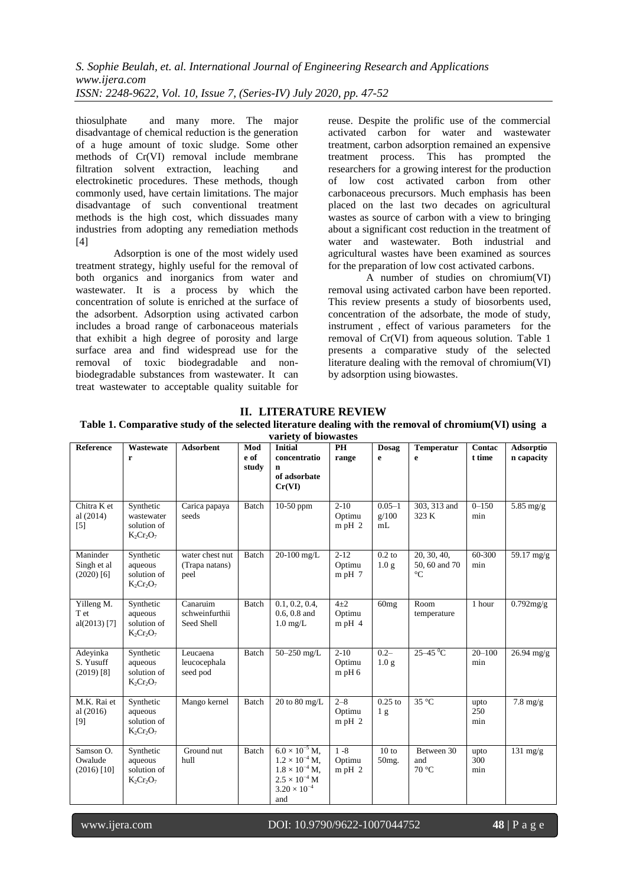thiosulphate and many more. The major disadvantage of chemical reduction is the generation of a huge amount of toxic sludge. Some other methods of Cr(VI) removal include membrane filtration solvent extraction leaching and electrokinetic procedures. These methods, though commonly used, have certain limitations. The major disadvantage of such conventional treatment methods is the high cost, which dissuades many industries from adopting any remediation methods  $[4]$ 

Adsorption is one of the most widely used treatment strategy, highly useful for the removal of both organics and inorganics from water and wastewater. It is a process by which the concentration of solute is enriched at the surface of the adsorbent. Adsorption using activated carbon includes a broad range of carbonaceous materials that exhibit a high degree of porosity and large surface area and find widespread use for the removal of toxic biodegradable and nonbiodegradable substances from wastewater. It can treat wastewater to acceptable quality suitable for reuse. Despite the prolific use of the commercial activated carbon for water and wastewater treatment, carbon adsorption remained an expensive treatment process. This has prompted the researchers for a growing interest for the production of low cost activated carbon from other carbonaceous precursors. Much emphasis has been placed on the last two decades on agricultural wastes as source of carbon with a view to bringing about a significant cost reduction in the treatment of water and wastewater. Both industrial and agricultural wastes have been examined as sources for the preparation of low cost activated carbons.

A number of studies on chromium(VI) removal using activated carbon have been reported. This review presents a study of biosorbents used, concentration of the adsorbate, the mode of study, instrument , effect of various parameters for the removal of Cr(VI) from aqueous solution. Table 1 presents a comparative study of the selected literature dealing with the removal of chromium(VI) by adsorption using biowastes.

|  | <b>II. LITERATURE REVIEW</b> |
|--|------------------------------|
|--|------------------------------|

**Table 1. Comparative study of the selected literature dealing with the removal of chromium(VI) using a** 

| variety of biowastes                    |                                                        |                                           |                      |                                                                                                                                         |                                  |                              |                                                 |                    |                         |
|-----------------------------------------|--------------------------------------------------------|-------------------------------------------|----------------------|-----------------------------------------------------------------------------------------------------------------------------------------|----------------------------------|------------------------------|-------------------------------------------------|--------------------|-------------------------|
| Reference                               | Wastewate<br>r                                         | <b>Adsorbent</b>                          | Mod<br>e of<br>study | <b>Initial</b><br>concentratio<br>n<br>of adsorbate<br>Cr(VI)                                                                           | PH<br>range                      | Dosag<br>e                   | <b>Temperatur</b><br>e                          | Contac<br>t time   | Adsorptio<br>n capacity |
| Chitra K et<br>al $(2014)$<br>$[5]$     | Synthetic<br>wastewater<br>solution of<br>$K_2Cr_2O_7$ | Carica papaya<br>seeds                    | Batch                | 10-50 ppm                                                                                                                               | $2 - 10$<br>Optimu<br>$m$ pH $2$ | $0.05 - 1$<br>g/100<br>mL    | 303, 313 and<br>323 K                           | $0 - 150$<br>min   | 5.85 mg/g               |
| Maninder<br>Singh et al<br>$(2020)$ [6] | Synthetic<br>aqueous<br>solution of<br>$K_2Cr_2O_7$    | water chest nut<br>(Trapa natans)<br>peel | Batch                | 20-100 mg/L                                                                                                                             | $2 - 12$<br>Optimu<br>$m$ pH $7$ | $0.2$ to<br>1.0 <sub>g</sub> | 20, 30, 40,<br>50, 60 and 70<br>$\rm ^{\circ}C$ | 60-300<br>min      | 59.17 mg/g              |
| Yilleng M.<br>T et<br>$al(2013)$ [7]    | Synthetic<br>aqueous<br>solution of<br>$K_2Cr_2O_7$    | Canaruim<br>schweinfurthii<br>Seed Shell  | Batch                | 0.1, 0.2, 0.4,<br>$0.6, 0.8$ and<br>$1.0$ mg/L                                                                                          | $4\pm 2$<br>Optimu<br>$m$ pH 4   | 60mg                         | Room<br>temperature                             | 1 hour             | $0.792$ mg/g            |
| Adeyinka<br>S. Yusuff<br>$(2019)$ [8]   | Synthetic<br>aqueous<br>solution of<br>$K_2Cr_2O_7$    | Leucaena<br>leucocephala<br>seed pod      | Batch                | 50-250 mg/L                                                                                                                             | $2-10$<br>Optimu<br>$m$ pH $6$   | $0.2 -$<br>1.0 <sub>g</sub>  | $25-45$ <sup>°</sup> C                          | $20 - 100$<br>min  | $26.94$ mg/g            |
| M.K. Rai et<br>al(2016)<br>[9]          | Synthetic<br>aqueous<br>solution of<br>$K_2Cr_2O_7$    | Mango kernel                              | Batch                | 20 to 80 mg/L                                                                                                                           | $2 - 8$<br>Optimu<br>$m$ pH $2$  | $0.25$ to<br>1 <sub>g</sub>  | $35^{\circ}$ C                                  | upto<br>250<br>min | $7.8 \text{ mg/g}$      |
| Samson O.<br>Owalude<br>$(2016)$ [10]   | Synthetic<br>aqueous<br>solution of<br>$K_2Cr_2O_7$    | Ground nut<br>hull                        | <b>Batch</b>         | $6.0 \times 10^{-5}$ M.<br>$1.2 \times 10^{-4}$ M.<br>$1.8 \times 10^{-4}$ M,<br>$2.5 \times 10^{-4}$ M<br>$3.20 \times 10^{-4}$<br>and | $1 - 8$<br>Optimu<br>$m$ pH $2$  | 10 to<br>50mg.               | Between 30<br>and<br>$70^{\circ}$ C             | upto<br>300<br>min | $131 \text{ mg/g}$      |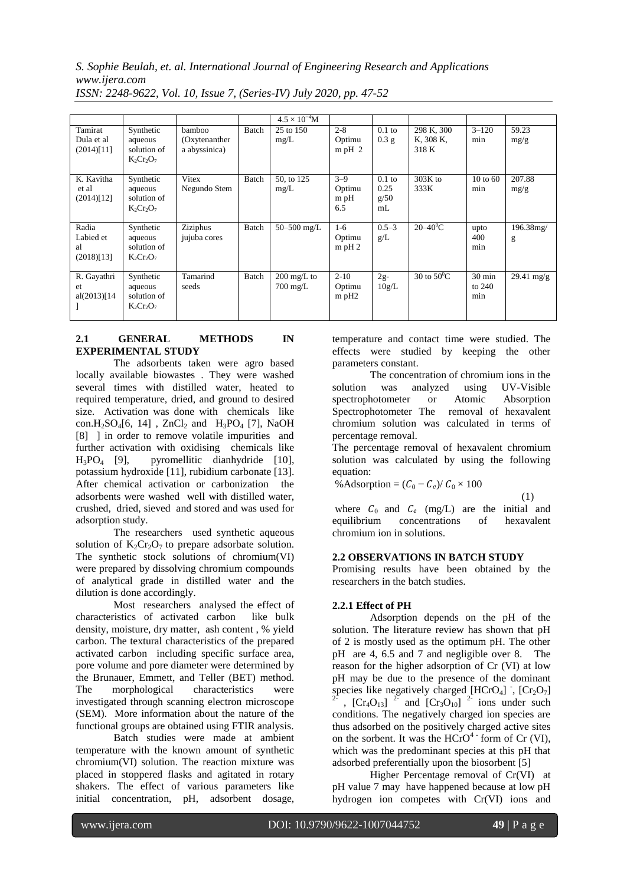*S. Sophie Beulah, et. al. International Journal of Engineering Research and Applications www.ijera.com*

|                                        |                                                     |                                           |       | $4.5 \times 10^{-4}$ M                      |                                           |                                |                                  |                                     |                      |
|----------------------------------------|-----------------------------------------------------|-------------------------------------------|-------|---------------------------------------------|-------------------------------------------|--------------------------------|----------------------------------|-------------------------------------|----------------------|
| Tamirat<br>Dula et al<br>(2014)[11]    | Synthetic<br>aqueous<br>solution of<br>$K_2Cr_2O_7$ | bamboo<br>(Oxytenanther)<br>a abyssinica) | Batch | 25 to 150<br>mg/L                           | $2 - 8$<br>Optimu<br>$m$ pH $2$           | $0.1$ to<br>0.3 g              | 298 K, 300<br>K, 308 K,<br>318 K | $3 - 120$<br>min                    | 59.23<br>mg/g        |
| K. Kavitha<br>et al<br>(2014)[12]      | Synthetic<br>aqueous<br>solution of<br>$K_2Cr_2O_7$ | Vitex<br>Negundo Stem                     | Batch | 50, to 125<br>mg/L                          | $3 - 9$<br>Optimu<br>$m$ pH<br>6.5        | $0.1$ to<br>0.25<br>g/50<br>mL | $303K$ to<br>333K                | $10 \text{ to } 60$<br>min          | 207.88<br>mg/g       |
| Radia<br>Labied et<br>al<br>(2018)[13] | Synthetic<br>aqueous<br>solution of<br>$K_2Cr_2O_7$ | Ziziphus<br>jujuba cores                  | Batch | 50 $-500$ mg/L                              | $1-6$<br>Optimu<br>$m$ pH $2$             | $0.5 - 3$<br>g/L               | $20 - 40^0C$                     | upto<br>400<br>min                  | 196.38mg/<br>g       |
| R. Gayathri<br>et<br>al(2013)[14]      | Synthetic<br>aqueous<br>solution of<br>$K_2Cr_2O_7$ | Tamarind<br>seeds                         | Batch | $200 \text{ mg/L}$ to<br>$700 \text{ mg/L}$ | $2 - 10$<br>Optimu<br>$m$ pH <sub>2</sub> | $2g-$<br>10g/L                 | 30 to $50^{\circ}$ C             | $30 \text{ min}$<br>to $240$<br>min | $29.41 \text{ mg/g}$ |

*ISSN: 2248-9622, Vol. 10, Issue 7, (Series-IV) July 2020, pp. 47-52*

## **2.1 GENERAL METHODS IN EXPERIMENTAL STUDY**

The adsorbents taken were agro based locally available biowastes . They were washed several times with distilled water, heated to required temperature, dried, and ground to desired size. Activation was done with chemicals like con.H<sub>2</sub>SO<sub>4</sub>[6, 14], ZnCl<sub>2</sub> and H<sub>3</sub>PO<sub>4</sub> [7], NaOH [8] ] in order to remove volatile impurities and further activation with oxidising chemicals like  $H_3PO_4$  [9], pyromellitic dianhydride [10], potassium hydroxide [11], rubidium carbonate [13]. After chemical activation or carbonization the adsorbents were washed well with distilled water, crushed, dried, sieved and stored and was used for adsorption study.

The researchers used synthetic aqueous solution of  $K_2Cr_2O_7$  to prepare adsorbate solution. The synthetic stock solutions of chromium(VI) were prepared by dissolving chromium compounds of analytical grade in distilled water and the dilution is done accordingly.

Most researchers analysed the effect of characteristics of activated carbon like bulk density, moisture, dry matter, ash content , % yield carbon. The textural characteristics of the prepared activated carbon including specific surface area, pore volume and pore diameter were determined by the Brunauer, Emmett, and Teller (BET) method. The morphological characteristics were investigated through scanning electron microscope (SEM). More information about the nature of the functional groups are obtained using FTIR analysis.

Batch studies were made at ambient temperature with the known amount of synthetic chromium(VI) solution. The reaction mixture was placed in stoppered flasks and agitated in rotary shakers. The effect of various parameters like initial concentration, pH, adsorbent dosage,

temperature and contact time were studied. The effects were studied by keeping the other parameters constant.

The concentration of chromium ions in the solution was analyzed using UV-Visible spectrophotometer or Atomic Absorption Spectrophotometer The removal of hexavalent chromium solution was calculated in terms of percentage removal.

The percentage removal of hexavalent chromium solution was calculated by using the following equation:

%Adsorption = 
$$
(C_0 - C_e)/C_0 \times 100
$$

(1)

where  $C_0$  and  $C_e$  (mg/L) are the initial and equilibrium concentrations of hexavalent concentrations of hexavalent chromium ion in solutions.

## **2.2 OBSERVATIONS IN BATCH STUDY**

Promising results have been obtained by the researchers in the batch studies.

## **2.2.1 Effect of PH**

Adsorption depends on the pH of the solution. The literature review has shown that pH of 2 is mostly used as the optimum pH. The other pH are 4, 6.5 and 7 and negligible over 8. The reason for the higher adsorption of Cr (VI) at low pH may be due to the presence of the dominant species like negatively charged  $[HCrO_4]$ ,  $[Cr_2O_7]$ <br>  $\frac{2}{r}$ ,  $[Cr_4O_{13}]$   $\frac{2}{r}$  and  $[Cr_3O_{10}]$   $\frac{2}{r}$  ions under such conditions. The negatively charged ion species are thus adsorbed on the positively charged active sites on the sorbent. It was the  $HCrO<sup>4</sup>$  form of Cr (VI), which was the predominant species at this pH that adsorbed preferentially upon the biosorbent [5]

Higher Percentage removal of Cr(VI) at pH value 7 may have happened because at low pH hydrogen ion competes with Cr(VI) ions and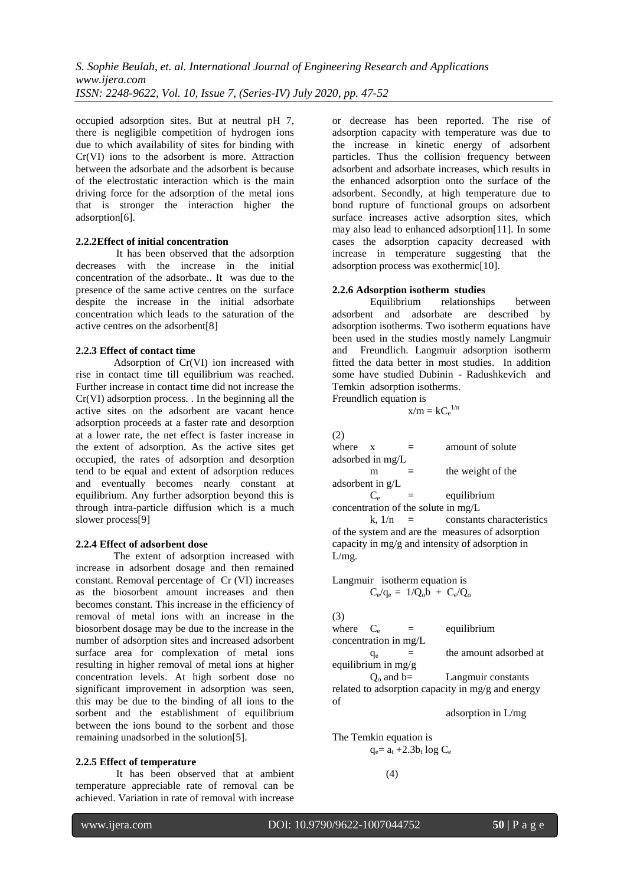occupied adsorption sites. But at neutral pH 7, there is negligible competition of hydrogen ions due to which availability of sites for binding with Cr(VI) ions to the adsorbent is more. Attraction between the adsorbate and the adsorbent is because of the electrostatic interaction which is the main driving force for the adsorption of the metal ions that is stronger the interaction higher the adsorption[6].

#### **2.2.2Effect of initial concentration**

It has been observed that the adsorption decreases with the increase in the initial concentration of the adsorbate.. It was due to the presence of the same active centres on the surface despite the increase in the initial adsorbate concentration which leads to the saturation of the active centres on the adsorbent[8]

#### **2.2.3 Effect of contact time**

Adsorption of Cr(VI) ion increased with rise in contact time till equilibrium was reached. Further increase in contact time did not increase the Cr(VI) adsorption process. . In the beginning all the active sites on the adsorbent are vacant hence adsorption proceeds at a faster rate and desorption at a lower rate, the net effect is faster increase in the extent of adsorption. As the active sites get occupied, the rates of adsorption and desorption tend to be equal and extent of adsorption reduces and eventually becomes nearly constant at equilibrium. Any further adsorption beyond this is through intra-particle diffusion which is a much slower process[9]

#### **2.2.4 Effect of adsorbent dose**

The extent of adsorption increased with increase in adsorbent dosage and then remained constant. Removal percentage of Cr (VI) increases as the biosorbent amount increases and then becomes constant. This increase in the efficiency of removal of metal ions with an increase in the biosorbent dosage may be due to the increase in the number of adsorption sites and increased adsorbent surface area for complexation of metal ions resulting in higher removal of metal ions at higher concentration levels. At high sorbent dose no significant improvement in adsorption was seen, this may be due to the binding of all ions to the sorbent and the establishment of equilibrium between the ions bound to the sorbent and those remaining unadsorbed in the solution[5].

#### **2.2.5 Effect of temperature**

It has been observed that at ambient temperature appreciable rate of removal can be achieved. Variation in rate of removal with increase

or decrease has been reported. The rise of adsorption capacity with temperature was due to the increase in kinetic energy of adsorbent particles. Thus the collision frequency between adsorbent and adsorbate increases, which results in the enhanced adsorption onto the surface of the adsorbent. Secondly, at high temperature due to bond rupture of functional groups on adsorbent surface increases active adsorption sites, which may also lead to enhanced adsorption[11]. In some cases the adsorption capacity decreased with increase in temperature suggesting that the adsorption process was exothermic[10].

#### **2.2.6 Adsorption isotherm studies**

Equilibrium relationships between adsorbent and adsorbate are described by adsorption isotherms. Two isotherm equations have been used in the studies mostly namely Langmuir and Freundlich. Langmuir adsorption isotherm fitted the data better in most studies. In addition some have studied Dubinin - Radushkevich and Temkin adsorption isotherms. Freundlich equation is

$$
x/m = k C_e^{\ 1/n}
$$

(2)

| where              | $\mathbf{x}$ | $=$ | amount of solute                      |
|--------------------|--------------|-----|---------------------------------------|
| adsorbed in mg/L   |              |     |                                       |
|                    | m            |     | the weight of the                     |
| adsorbent in $g/L$ |              |     |                                       |
|                    | $C_{\circ}$  |     | equilibrium                           |
|                    |              |     | concentration of the solute in $mg/L$ |

k,  $1/n =$  constants characteristics of the system and are the measures of adsorption capacity in mg/g and intensity of adsorption in L/mg.

Langmuir isotherm equation is  $C_e/q_e = 1/Q_0 b + C_e/Q_0$ 

(3)

where  $C_e$  = equilibrium concentration in mg/L  $q_e$  = the amount adsorbed at equilibrium in mg/g

 $Q_0$  and  $b=$  Langmuir constants related to adsorption capacity in mg/g and energy of

adsorption in L/mg

The Temkin equation is  
\n
$$
q_e = a_t + 2.3b_t \log C_e
$$

(4)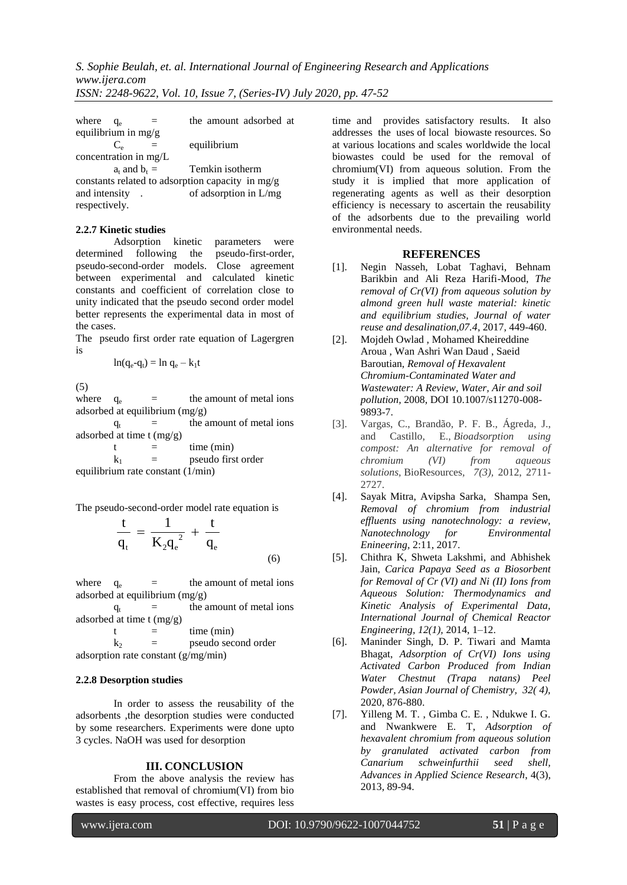| where                                            | $q_e$                 |  | the amount adsorbed at |  |  |  |  |  |  |
|--------------------------------------------------|-----------------------|--|------------------------|--|--|--|--|--|--|
|                                                  | equilibrium in $mg/g$ |  |                        |  |  |  |  |  |  |
|                                                  | C.                    |  | equilibrium            |  |  |  |  |  |  |
|                                                  | concentration in mg/L |  |                        |  |  |  |  |  |  |
|                                                  | $a_t$ and $b_t =$     |  | Temkin isotherm        |  |  |  |  |  |  |
| constants related to adsorption capacity in mg/g |                       |  |                        |  |  |  |  |  |  |
| and intensity                                    |                       |  | of adsorption in L/mg  |  |  |  |  |  |  |
| respectively.                                    |                       |  |                        |  |  |  |  |  |  |

#### **2.2.7 Kinetic studies**

Adsorption kinetic parameters were determined following the pseudo-first-order, pseudo-second-order models. Close agreement between experimental and calculated kinetic constants and coefficient of correlation close to unity indicated that the pseudo second order model better represents the experimental data in most of the cases.

The pseudo first order rate equation of Lagergren is

$$
ln(q_e - q_t) = ln q_e - k_1 t
$$

(5)

where  $q_e$  = the amount of metal ions adsorbed at equilibrium (mg/g)

 $q_t$  = the amount of metal ions adsorbed at time t (mg/g)

 $t =$  time (min)  $k_1$  = pseudo first order equilibrium rate constant (1/min)

The pseudo-second-order model rate equation is

$$
\frac{t}{q_t} = \frac{1}{K_2 q_e^2} + \frac{t}{q_e}
$$

(6)

where  $q_e$  = the amount of metal ions adsorbed at equilibrium (mg/g)

 $q_t$  = the amount of metal ions adsorbed at time t (mg/g)

 $t =$  time (min)  $k_2$  = pseudo second order adsorption rate constant (g/mg/min)

#### **2.2.8 Desorption studies**

In order to assess the reusability of the adsorbents ,the desorption studies were conducted by some researchers. Experiments were done upto 3 cycles. NaOH was used for desorption

#### **III. CONCLUSION**

From the above analysis the review has established that removal of chromium(VI) from bio wastes is easy process, cost effective, requires less

time and provides satisfactory results. It also addresses the uses of local biowaste resources. So at various locations and scales worldwide the local biowastes could be used for the removal of chromium(VI) from aqueous solution. From the study it is implied that more application of regenerating agents as well as their desorption efficiency is necessary to ascertain the reusability of the adsorbents due to the prevailing world environmental needs.

#### **REFERENCES**

- [1]. Negin Nasseh, Lobat Taghavi, Behnam Barikbin and Ali Reza Harifi-Mood, *The removal of Cr(VI) from aqueous solution by almond green hull waste material: kinetic and equilibrium studies, Journal of water reuse and desalination,07.4*, 2017, 449-460.
- [2]. Mojdeh Owlad , Mohamed Kheireddine Aroua , Wan Ashri Wan Daud , Saeid Baroutian, *Removal of Hexavalent Chromium-Contaminated Water and Wastewater: A Review, Water, Air and soil pollution,* 2008, DOI 10.1007/s11270-008- 9893-7.
- [3]. Vargas, C., Brandão, P. F. B., Ágreda, J., and Castillo, E., *Bioadsorption using compost: An alternative for removal of chromium (VI) from aqueous solutions,* BioResources*, 7(3),* 2012, 2711- 2727.
- [4]. Sayak Mitra, Avipsha Sarka, Shampa Sen, *Removal of chromium from industrial effluents using nanotechnology: a review, Nanotechnology for Environmental Enineering*, 2:11, 2017.
- [5]. Chithra K, Shweta Lakshmi, and Abhishek Jain, *Carica Papaya Seed as a Biosorbent for Removal of Cr (VI) and Ni (II) Ions from Aqueous Solution: Thermodynamics and Kinetic Analysis of Experimental Data, International Journal of Chemical Reactor Engineering, 12(1),* 2014, 1–12.
- [6]. Maninder Singh, D. P. Tiwari and Mamta Bhagat, *Adsorption of Cr(VI) Ions using Activated Carbon Produced from Indian Water Chestnut (Trapa natans) Peel Powder, Asian Journal of Chemistry, 32( 4),* 2020, 876-880.
- [7]. Yilleng M. T. , Gimba C. E. , Ndukwe I. G. and Nwankwere E. T, *Adsorption of hexavalent chromium from aqueous solution by granulated activated carbon from Canarium schweinfurthii seed shell, Advances in Applied Science Research*, 4(3), 2013, 89-94.